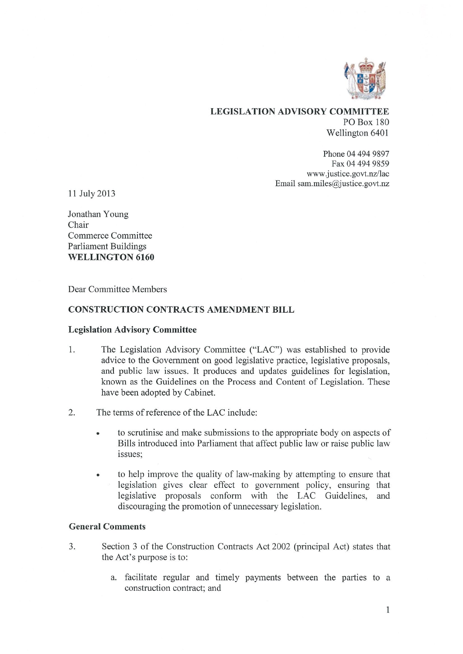

# LEGISLATION ADVISORY COMMITTEE PO Box 180 Wellington 6401

Phone 04 494 9897 Fax 04 494 9859 www.justice.govt.nz/lae Email sam.miles@justice.govt.nz

11 July 2013

Jonathan Young Chair Commerce Committee Parliament Buildings WELLINGTON 6160

Dear Committee Members

### CONSTRUCTION CONTRACTS AMENDMENT BILL

#### Legislation Advisory Committee

- 1. The Legislation Advisory Committee ("LAC") was established to provide advice to the Government on good legislative practice, legislative proposals, and public law issues. It produces and updates guidelines for legislation, known as the Guidelines on the Process and Content of Legislation. These have been adopted by Cabinet.
- 2. The terms of reference of the LAC include:
	- to scrutinise and make submissions to the appropriate body on aspects of Bills introduced into Parliament that affect public law or raise public law issues;
	- to help improve the quality of law-making by attempting to ensure that legislation gives clear effect to government policy, ensuring that legislative proposals conform with the LAC Guidelines, discouraging the promotion of unnecessary legislation.

#### General Comments

- 3. Section 3 of the Construction Contracts Act 2002 (principal Act) states that the Act's purpose is to:
	- a. facilitate regular and timely payments between the parties to a construction contract; and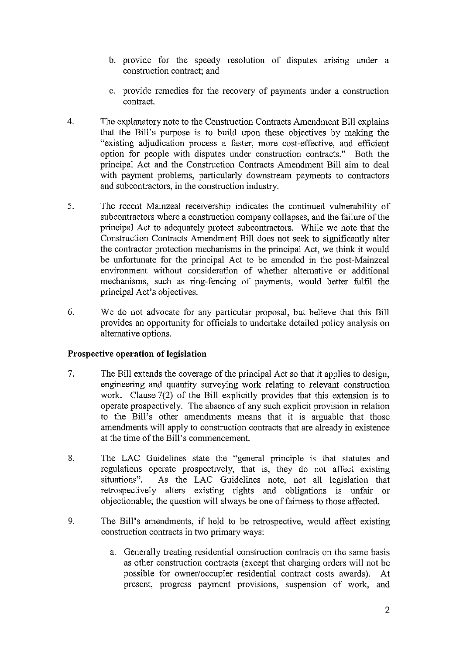- b. provide for the speedy resolution of disputes arising under a construction contract; and
- c. provide remedies for the recovery of payments under a construction contract.
- $\overline{4}$ . The explanatory note to the Construction Contracts Amendment Bill explains that the Bill's purpose is to build upon these objectives by making the "existing adjudication process a faster, more cost-effective, and efficient option for people with disputes under construction contracts." Both the principal Act and the Construction Contracts Amendment Bill aim to deal with payment problems, particularly downstream payments to contractors and subcontractors, in the construction industry.
- 5. The recent Mainzeal receivership indicates the continued vulnerability of subcontractors where a construction company collapses, and the failure of the principal Act to adequately protect subcontractors. While we note that the Construction Contracts Amendment Bill does not seek to significantly alter the contractor protection mechanisms in the principal Act, we think it would be unfortunate for the principal Act to be amended in the post-Mainzeal environment without consideration of whether alternative or additional mechanisms, such as ring-fencing of payments, would better fulfil the principal Act's objectives.
- 6. We do not advocate for any particular proposal, but believe that this Bill provides an opportunity for officials to undertake detailed policy analysis on alternative options.

# **Prospective operation of legislation**

- 7. The Bill extends the coverage of the principal Act so that it applies to design, engineering and quantity surveying work relating to relevant construction work. Clause 7(2) of the Bill explicitly provides that this extension is to operate prospectively. The absence of any such explicit provision in relation to the Bill's other amendments means that it is arguable that those amendments will apply to construction contracts that are already in existence at the time of the Bill's commencement.
- 8. The LAC Guidelines state the "general principle is that statutes and regulations operate prospectively, that is, they do not affect existing situations". As the LAC Guidelines note, not all legislation that As the LAC Guidelines note, not all legislation that retrospectively alters existing rights and obligations is unfair or objectionable; the question will always be one of fairness to those affected.
- 9. The Bill's amendments, if held to be retrospective, would affect existing construction contracts in two primary ways:
	- a. Generally treating residential construction contracts on the same basis as other construction contracts (except that charging orders will not be possible for owner/occupier residential contract costs awards). At present, progress payment provisions, suspension of work, and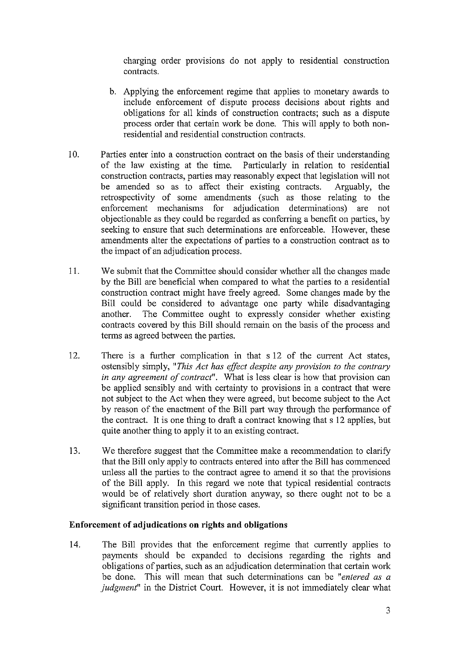charging order provisions do not apply to residential construction contracts.

- b. Applying the enforcement regime that applies to monetary awards to include enforcement of dispute process decisions about rights and obligations for all kinds of construction contracts; such as a dispute process order that certain work be done. This will apply to both nonresidential and residential construction contracts.
- 10, Parties enter into a construction contract on the basis of their understanding of the law existing at the time. Particularly in relation to residential construction contracts, parties may reasonably expect that legislation will not be amended so as to affect their existing contracts. Arguably, the retrospectivity of some amendments (such as those relating to the enforcement mechanisms for adjudication determinations) are not objectionable as they could be regarded as conferring a benefit on parties, by seeking to ensure that such determinations are enforceable. However, these amendments alter the expectations of parties to a construction contract as to the impact of an adjudication process.
- 11. We submit that the Committee should consider whether all the changes made by the Bill are beneficial when compared to what the parties to a residential construction contract might have freely agreed. Some changes made by the Bill could be considered to advantage one party while disadvantaging another. The Committee ought to expressly consider whether existing contracts covered by this Bill should remain on the basis of the process and terms as agreed between the parties.
- 12. There is a further complication in that s 12 of the current Act states, ostensibly simply, "This Act has effect despite any provision to the contrary in any agreement of contract". What is less clear is how that provision can be applied sensibly and with certainty to provisions in a contract that were not subject to the Act when they were agreed, but become subject to the Act by reason of the enactment of the Bill part way through the performance of the contract. It is one thing to draft a contract knowing that s 12 applies, but quite another thing to apply it to an existing contract.
- 13. We therefore suggest that the Committee make a recommendation to clarify that the Bill only apply to contracts entered into after the Bill has commenced unless all the parties to the contract agree to amend it so that the provisions of the Bill apply. In this regard we note that typical residential contracts would be of relatively short duration anyway, so there ought not to be a significant transition period in those cases.

# Enforcement of adjudications on rights and obligations

14. The Bill provides that the enforcement regime that currently applies to payments should be expanded to decisions regarding the rights and obligations of parties, such as an adjudication determination that certain work be done. This will mean that such determinations can be "entered as a judgment" in the District Court. However, it is not immediately clear what